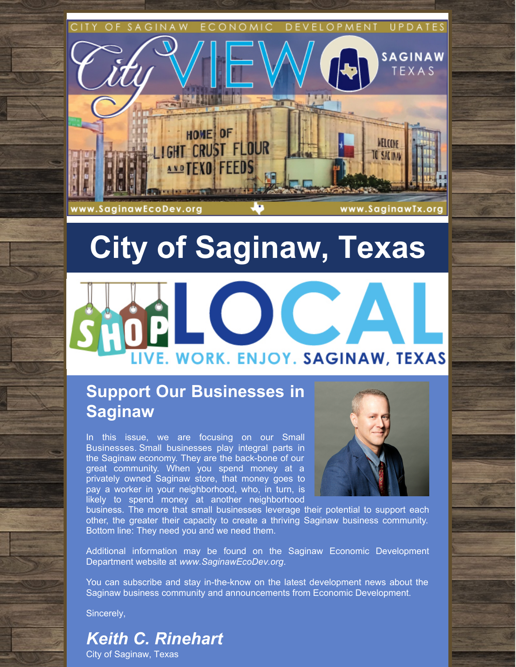

# **City of Saginaw, Texas**



### **Support Our Businesses in Saginaw**

In this issue, we are focusing on our Small Businesses. Small businesses play integral parts in the Saginaw economy. They are the back-bone of our great community. When you spend money at a privately owned Saginaw store, that money goes to pay a worker in your neighborhood, who, in turn, is likely to spend money at another neighborhood



business. The more that small businesses leverage their potential to support each other, the greater their capacity to create a thriving Saginaw business community. Bottom line: They need you and we need them.

Additional information may be found on the Saginaw Economic Development Department website at *[www.SaginawEcoDev.org](http://ci.saginaw.tx.us/215/Economic-Development)*.

You can subscribe and stay in-the-know on the latest development news about the Saginaw business community and announcements from Economic Development.

Sincerely,

### *Keith C. Rinehart*

City of Saginaw, Texas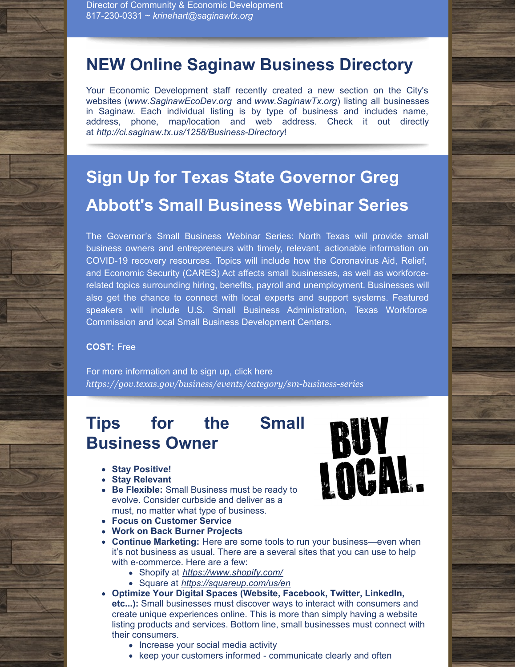### **NEW Online Saginaw Business Directory**

Your Economic Development staff recently created a new section on the City's websites (*[www.SaginawEcoDev.org](http://www.saginawecodev.org)* and *[www.SaginawTx.org](http://www.saginawtx.org)*) listing all businesses in Saginaw. Each individual listing is by type of business and includes name, address, phone, map/location and web address. Check it out directly at *<http://ci.saginaw.tx.us/1258/Business-Directory>*!

## **Sign Up for Texas State Governor Greg Abbott's Small Business Webinar Series**

The Governor's Small Business Webinar Series: North Texas will provide small business owners and entrepreneurs with timely, relevant, actionable information on COVID-19 recovery resources. Topics will include how the Coronavirus Aid, Relief, and Economic Security (CARES) Act affects small businesses, as well as workforcerelated topics surrounding hiring, benefits, payroll and unemployment. Businesses will also get the chance to connect with local experts and support systems. Featured speakers will include U.S. Small Business Administration, Texas Workforce Commission and local Small Business Development Centers.

#### **COST:** Free

For more information and to sign up, click here *<https://gov.texas.gov/business/events/category/sm-business-series>*

### **Tips for the Small Business Owner**

- **Stay Positive!**
- **Stay Relevant**
- **Be Flexible:** Small Business must be ready to evolve. Consider curbside and deliver as a must, no matter what type of business.
- **Focus on Customer Service**
- **Work on Back Burner Projects**
- **Continue Marketing:** Here are some tools to run your business—even when it's not business as usual. There are a several sites that you can use to help with e-commerce. Here are a few:
	- Shopify at *<https://www.shopify.com/>*
	- Square at *<https://squareup.com/us/en>*
- **Optimize Your Digital Spaces (Website, Facebook, Twitter, LinkedIn, etc...):** Small businesses must discover ways to interact with consumers and create unique experiences online. This is more than simply having a website listing products and services. Bottom line, small businesses must connect with their consumers.
	- Increase your social media activity
	- keep your customers informed communicate clearly and often

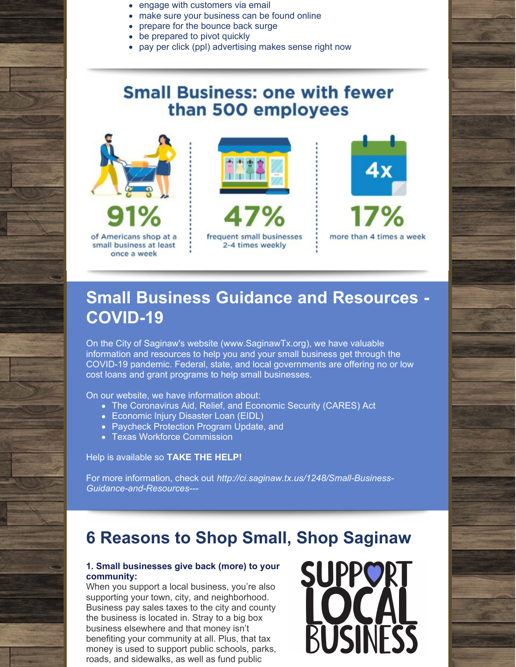- engage with customers via email
- make sure your business can be found online
- prepare for the bounce back surge
- be prepared to pivot quickly
- pay per click (ppl) advertising makes sense right now

### **Small Business: one with fewer** than 500 employees







### **Small Business Guidance and Resources - COVID-19**

On the City of Saginaw's website (www.SaginawTx.org), we have valuable information and resources to help you and your small business get through the COVID-19 pandemic. Federal, state, and local governments are offering no or low cost loans and grant programs to help small businesses.

On our website, we have information about:

- The Coronavirus Aid, Relief, and Economic Security (CARES) Act
- Economic Injury Disaster Loan (EIDL)
- Paycheck Protection Program Update, and
- Texas Workforce Commission

Help is available so **TAKE THE HELP!**

For more information, check out *[http://ci.saginaw.tx.us/1248/Small-Business-](http://ci.saginaw.tx.us/1248/Small-Business-Guidance-and-Resources---)Guidance-and-Resources---*

### **6 Reasons to Shop Small, Shop Saginaw**

#### **1. Small businesses give back (more) to your community:**

When you support a local business, you're also supporting your town, city, and neighborhood. Business pay sales taxes to the city and county the business is located in. Stray to a big box business elsewhere and that money isn't benefiting your community at all. Plus, that tax money is used to support public schools, parks, roads, and sidewalks, as well as fund public